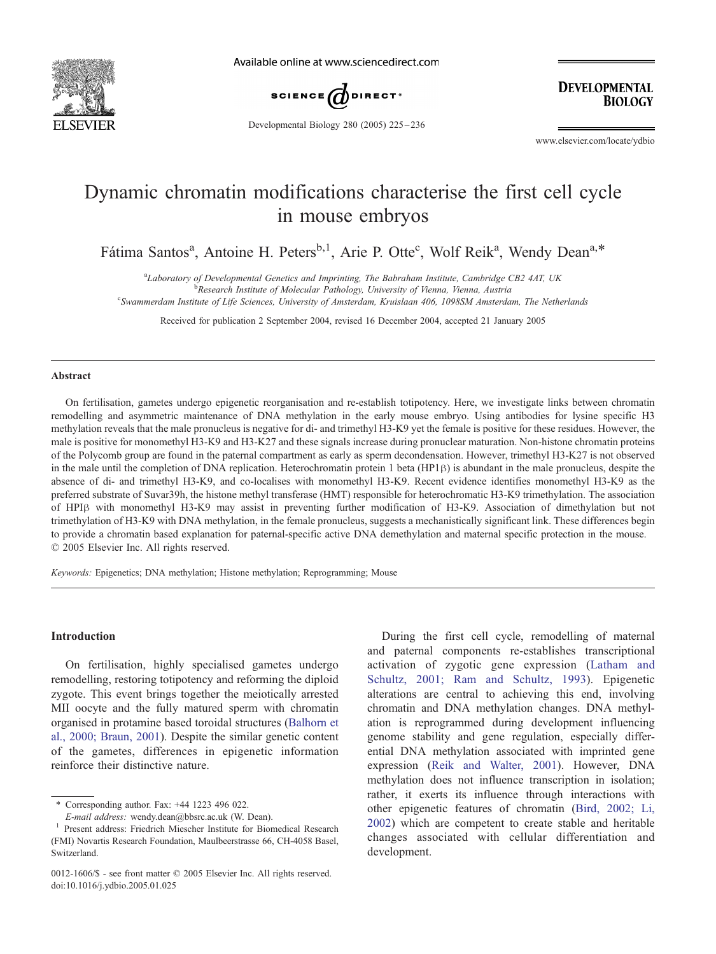

Available online at www.sciencedirect.com



**DEVELOPMENTAL BIOLOGY** 

Developmental Biology 280 (2005) 225 – 236

www.elsevier.com/locate/ydbio

# Dynamic chromatin modifications characterise the first cell cycle in mouse embryos

Fátima Santos<sup>a</sup>, Antoine H. Peters<sup>b,1</sup>, Arie P. Otte<sup>c</sup>, Wolf Reik<sup>a</sup>, Wendy Dean<sup>a,\*</sup>

<sup>a</sup>Laboratory of Developmental Genetics and Imprinting, The Babraham Institute, Cambridge CB2 4AT, UK<br><sup>b</sup> Basearsh Institute of Malagular Pathology University of Vienna, Vienna, Austria

<sup>b</sup>Research Institute of Molecular Pathology, University of Vienna, Vienna, Austria

c Swammerdam Institute of Life Sciences, University of Amsterdam, Kruislaan 406, 1098SM Amsterdam, The Netherlands

Received for publication 2 September 2004, revised 16 December 2004, accepted 21 January 2005

#### Abstract

On fertilisation, gametes undergo epigenetic reorganisation and re-establish totipotency. Here, we investigate links between chromatin remodelling and asymmetric maintenance of DNA methylation in the early mouse embryo. Using antibodies for lysine specific H3 methylation reveals that the male pronucleus is negative for di- and trimethyl H3-K9 yet the female is positive for these residues. However, the male is positive for monomethyl H3-K9 and H3-K27 and these signals increase during pronuclear maturation. Non-histone chromatin proteins of the Polycomb group are found in the paternal compartment as early as sperm decondensation. However, trimethyl H3-K27 is not observed in the male until the completion of DNA replication. Heterochromatin protein 1 beta (HP1 $\beta$ ) is abundant in the male pronucleus, despite the absence of di- and trimethyl H3-K9, and co-localises with monomethyl H3-K9. Recent evidence identifies monomethyl H3-K9 as the preferred substrate of Suvar39h, the histone methyl transferase (HMT) responsible for heterochromatic H3-K9 trimethylation. The association of HPIß with monomethyl H3-K9 may assist in preventing further modification of H3-K9. Association of dimethylation but not trimethylation of H3-K9 with DNA methylation, in the female pronucleus, suggests a mechanistically significant link. These differences begin to provide a chromatin based explanation for paternal-specific active DNA demethylation and maternal specific protection in the mouse.  $© 2005 Elsevier Inc. All rights reserved.$ 

Keywords: Epigenetics; DNA methylation; Histone methylation; Reprogramming; Mouse

# Introduction

On fertilisation, highly specialised gametes undergo remodelling, restoring totipotency and reforming the diploid zygote. This event brings together the meiotically arrested MII oocyte and the fully matured sperm with chromatin organised in protamine based toroidal structures ([Balhorn et](#page-9-0) al., 2000; Braun, 2001). Despite the similar genetic content of the gametes, differences in epigenetic information reinforce their distinctive nature.

During the first cell cycle, remodelling of maternal and paternal components re-establishes transcriptional activation of zygotic gene expression ([Latham and](#page-10-0) Schultz, 2001; Ram and Schultz, 1993). Epigenetic alterations are central to achieving this end, involving chromatin and DNA methylation changes. DNA methylation is reprogrammed during development influencing genome stability and gene regulation, especially differential DNA methylation associated with imprinted gene expression ([Reik and Walter, 2001\)](#page-10-0). However, DNA methylation does not influence transcription in isolation; rather, it exerts its influence through interactions with other epigenetic features of chromatin ([Bird, 2002; Li,](#page-9-0) 2002) which are competent to create stable and heritable changes associated with cellular differentiation and development.

<sup>\*</sup> Corresponding author. Fax:  $+44$  1223 496 022.

 $E$ -mail address: wendy.dean@bbsrc.ac.uk (W. Dean).  $1$  Present address: Friedrich Miescher Institute for Biomedical Research (FMI) Novartis Research Foundation, Maulbeerstrasse 66, CH-4058 Basel, Switzerland.

<sup>0012-1606/\$ -</sup> see front matter  $\odot$  2005 Elsevier Inc. All rights reserved. doi:10.1016/j.ydbio.2005.01.025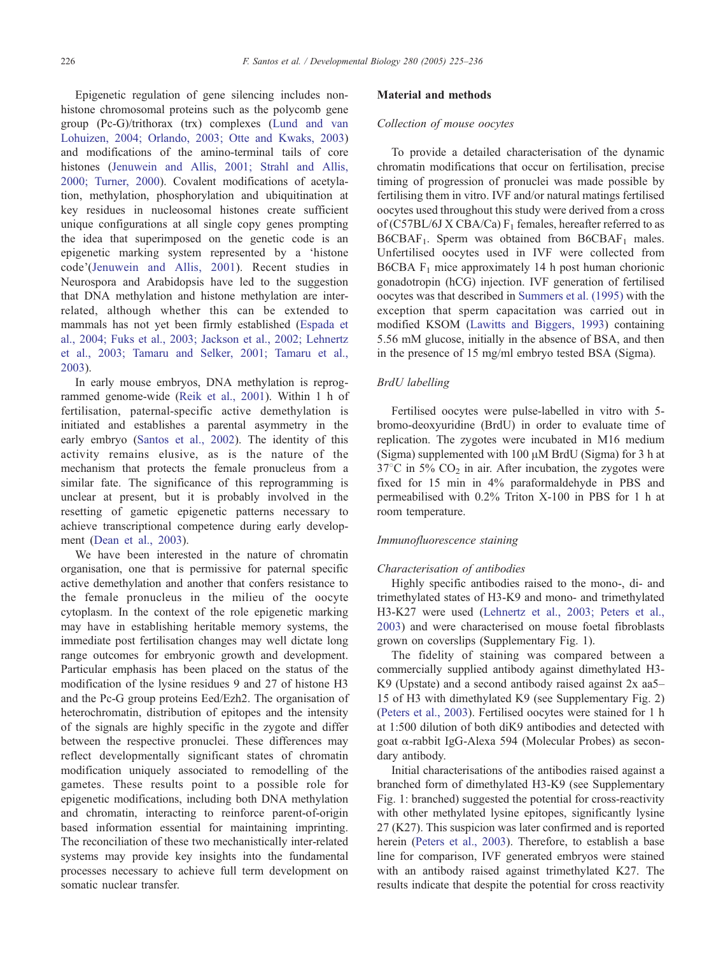Epigenetic regulation of gene silencing includes nonhistone chromosomal proteins such as the polycomb gene group (Pc-G)/trithorax (trx) complexes ([Lund and van](#page-10-0) Lohuizen, 2004; Orlando, 2003; Otte and Kwaks, 2003) and modifications of the amino-terminal tails of core histones [\(Jenuwein and Allis, 2001; Strahl and Allis,](#page-10-0) 2000; Turner, 2000). Covalent modifications of acetylation, methylation, phosphorylation and ubiquitination at key residues in nucleosomal histones create sufficient unique configurations at all single copy genes prompting the idea that superimposed on the genetic code is an epigenetic marking system represented by a 'histone code'([Jenuwein and Allis, 2001\)](#page-10-0). Recent studies in Neurospora and Arabidopsis have led to the suggestion that DNA methylation and histone methylation are interrelated, although whether this can be extended to mammals has not yet been firmly established ([Espada et](#page-10-0) al., 2004; Fuks et al., 2003; Jackson et al., 2002; Lehnertz et al., 2003; Tamaru and Selker, 2001; Tamaru et al., 2003).

In early mouse embryos, DNA methylation is reprogrammed genome-wide ([Reik et al., 2001\)](#page-10-0). Within 1 h of fertilisation, paternal-specific active demethylation is initiated and establishes a parental asymmetry in the early embryo ([Santos et al., 2002\)](#page-10-0). The identity of this activity remains elusive, as is the nature of the mechanism that protects the female pronucleus from a similar fate. The significance of this reprogramming is unclear at present, but it is probably involved in the resetting of gametic epigenetic patterns necessary to achieve transcriptional competence during early development [\(Dean et al., 2003\)](#page-9-0).

We have been interested in the nature of chromatin organisation, one that is permissive for paternal specific active demethylation and another that confers resistance to the female pronucleus in the milieu of the oocyte cytoplasm. In the context of the role epigenetic marking may have in establishing heritable memory systems, the immediate post fertilisation changes may well dictate long range outcomes for embryonic growth and development. Particular emphasis has been placed on the status of the modification of the lysine residues 9 and 27 of histone H3 and the Pc-G group proteins Eed/Ezh2. The organisation of heterochromatin, distribution of epitopes and the intensity of the signals are highly specific in the zygote and differ between the respective pronuclei. These differences may reflect developmentally significant states of chromatin modification uniquely associated to remodelling of the gametes. These results point to a possible role for epigenetic modifications, including both DNA methylation and chromatin, interacting to reinforce parent-of-origin based information essential for maintaining imprinting. The reconciliation of these two mechanistically inter-related systems may provide key insights into the fundamental processes necessary to achieve full term development on somatic nuclear transfer.

# Material and methods

# Collection of mouse oocytes

To provide a detailed characterisation of the dynamic chromatin modifications that occur on fertilisation, precise timing of progression of pronuclei was made possible by fertilising them in vitro. IVF and/or natural matings fertilised oocytes used throughout this study were derived from a cross of (C57BL/6J X CBA/Ca)  $F_1$  females, hereafter referred to as  $B6CBAF<sub>1</sub>$ . Sperm was obtained from  $B6CBAF<sub>1</sub>$  males. Unfertilised oocytes used in IVF were collected from B6CBA  $F_1$  mice approximately 14 h post human chorionic gonadotropin (hCG) injection. IVF generation of fertilised oocytes was that described in [Summers et al. \(1995\)](#page-10-0) with the exception that sperm capacitation was carried out in modified KSOM ([Lawitts and Biggers, 1993\)](#page-10-0) containing 5.56 mM glucose, initially in the absence of BSA, and then in the presence of 15 mg/ml embryo tested BSA (Sigma).

#### BrdU labelling

Fertilised oocytes were pulse-labelled in vitro with 5 bromo-deoxyuridine (BrdU) in order to evaluate time of replication. The zygotes were incubated in M16 medium (Sigma) supplemented with  $100 \mu M$  BrdU (Sigma) for 3 h at  $37^{\circ}$ C in 5% CO<sub>2</sub> in air. After incubation, the zygotes were fixed for 15 min in 4% paraformaldehyde in PBS and permeabilised with 0.2% Triton X-100 in PBS for 1 h at room temperature.

# Immunofluorescence staining

#### Characterisation of antibodies

Highly specific antibodies raised to the mono-, di- and trimethylated states of H3-K9 and mono- and trimethylated H3-K27 were used ([Lehnertz et al., 2003; Peters et al.,](#page-10-0) 2003) and were characterised on mouse foetal fibroblasts grown on coverslips (Supplementary Fig. 1).

The fidelity of staining was compared between a commercially supplied antibody against dimethylated H3- K9 (Upstate) and a second antibody raised against 2x aa5– 15 of H3 with dimethylated K9 (see Supplementary Fig. 2) ([Peters et al., 2003\)](#page-10-0). Fertilised oocytes were stained for 1 h at 1:500 dilution of both diK9 antibodies and detected with goat a-rabbit IgG-Alexa 594 (Molecular Probes) as secondary antibody.

Initial characterisations of the antibodies raised against a branched form of dimethylated H3-K9 (see Supplementary Fig. 1: branched) suggested the potential for cross-reactivity with other methylated lysine epitopes, significantly lysine 27 (K27). This suspicion was later confirmed and is reported herein ([Peters et al., 2003\)](#page-10-0). Therefore, to establish a base line for comparison, IVF generated embryos were stained with an antibody raised against trimethylated K27. The results indicate that despite the potential for cross reactivity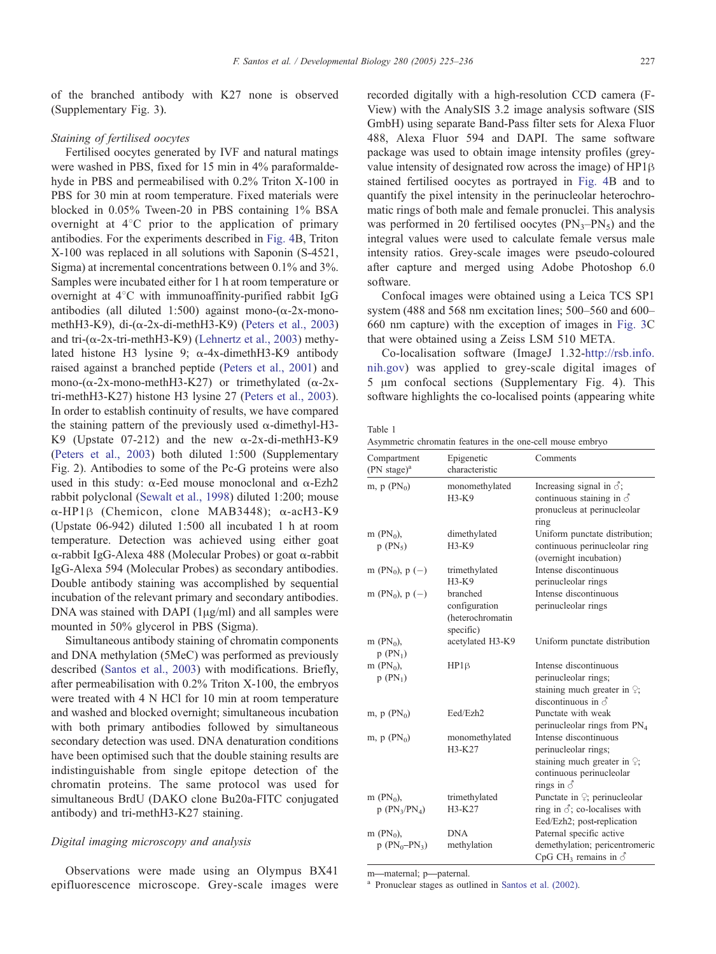<span id="page-2-0"></span>of the branched antibody with K27 none is observed (Supplementary Fig. 3).

#### Staining of fertilised oocytes

Fertilised oocytes generated by IVF and natural matings were washed in PBS, fixed for 15 min in 4% paraformaldehyde in PBS and permeabilised with 0.2% Triton X-100 in PBS for 30 min at room temperature. Fixed materials were blocked in 0.05% Tween-20 in PBS containing 1% BSA overnight at  $4^{\circ}$ C prior to the application of primary antibodies. For the experiments described in [Fig. 4B](#page-7-0), Triton X-100 was replaced in all solutions with Saponin (S-4521, Sigma) at incremental concentrations between 0.1% and 3%. Samples were incubated either for 1 h at room temperature or overnight at  $4^{\circ}$ C with immunoaffinity-purified rabbit IgG antibodies (all diluted 1:500) against mono- $(\alpha$ -2x-monomethH3-K9), di- $(\alpha$ -2x-di-methH3-K9) ([Peters et al., 2003\)](#page-10-0) and tri-( $\alpha$ -2x-tri-methH3-K9) ([Lehnertz et al., 2003\)](#page-10-0) methylated histone H3 lysine 9;  $\alpha$ -4x-dimethH3-K9 antibody raised against a branched peptide ([Peters et al., 2001\)](#page-10-0) and mono-( $\alpha$ -2x-mono-methH3-K27) or trimethylated ( $\alpha$ -2xtri-methH3-K27) histone H3 lysine 27 ([Peters et al., 2003\)](#page-10-0). In order to establish continuity of results, we have compared the staining pattern of the previously used  $\alpha$ -dimethyl-H3-K9 (Upstate 07-212) and the new  $\alpha$ -2x-di-methH3-K9 ([Peters et al., 2003\)](#page-10-0) both diluted 1:500 (Supplementary Fig. 2). Antibodies to some of the Pc-G proteins were also used in this study:  $\alpha$ -Eed mouse monoclonal and  $\alpha$ -Ezh2 rabbit polyclonal ([Sewalt et al., 1998\)](#page-10-0) diluted 1:200; mouse  $\alpha$ -HP1 $\beta$  (Chemicon, clone MAB3448);  $\alpha$ -acH3-K9 (Upstate 06-942) diluted 1:500 all incubated 1 h at room temperature. Detection was achieved using either goat a-rabbit IgG-Alexa 488 (Molecular Probes) or goat a-rabbit IgG-Alexa 594 (Molecular Probes) as secondary antibodies. Double antibody staining was accomplished by sequential incubation of the relevant primary and secondary antibodies. DNA was stained with DAPI  $(1\mu g/ml)$  and all samples were mounted in 50% glycerol in PBS (Sigma).

Simultaneous antibody staining of chromatin components and DNA methylation (5MeC) was performed as previously described ([Santos et al., 2003\)](#page-10-0) with modifications. Briefly, after permeabilisation with 0.2% Triton X-100, the embryos were treated with 4 N HCl for 10 min at room temperature and washed and blocked overnight; simultaneous incubation with both primary antibodies followed by simultaneous secondary detection was used. DNA denaturation conditions have been optimised such that the double staining results are indistinguishable from single epitope detection of the chromatin proteins. The same protocol was used for simultaneous BrdU (DAKO clone Bu20a-FITC conjugated antibody) and tri-methH3-K27 staining.

## Digital imaging microscopy and analysis

Observations were made using an Olympus BX41 epifluorescence microscope. Grey-scale images were recorded digitally with a high-resolution CCD camera (F-View) with the AnalySIS 3.2 image analysis software (SIS GmbH) using separate Band-Pass filter sets for Alexa Fluor 488, Alexa Fluor 594 and DAPI. The same software package was used to obtain image intensity profiles (greyvalue intensity of designated row across the image) of  $HP1\beta$ stained fertilised oocytes as portrayed in [Fig. 4B](#page-7-0) and to quantify the pixel intensity in the perinucleolar heterochromatic rings of both male and female pronuclei. This analysis was performed in 20 fertilised oocytes  $(PN_3-PN_5)$  and the integral values were used to calculate female versus male intensity ratios. Grey-scale images were pseudo-coloured after capture and merged using Adobe Photoshop 6.0 software.

Confocal images were obtained using a Leica TCS SP1 system (488 and 568 nm excitation lines; 500–560 and 600– 660 nm capture) with the exception of images in [Fig. 3C](#page-5-0) that were obtained using a Zeiss LSM 510 META.

Co-localisation software (ImageJ 1.32-[http://rsb.info.]( http:\\www.rsb.info.nih.gov ) nih.gov) was applied to grey-scale digital images of  $5 \mu m$  confocal sections (Supplementary Fig. 4). This software highlights the co-localised points (appearing white

| $\sim$<br>.<br>۰. |  |  |
|-------------------|--|--|
|-------------------|--|--|

| Asymmetric chromatin features in the one-cell mouse embryo |  |  |  |  |
|------------------------------------------------------------|--|--|--|--|
|                                                            |  |  |  |  |

| Compartment<br>$(PN stage)^a$  | Epigenetic<br>characteristic                               | Comments                                                                                                                               |
|--------------------------------|------------------------------------------------------------|----------------------------------------------------------------------------------------------------------------------------------------|
| m, $p(PN_0)$                   | monomethylated<br>H3-K9                                    | Increasing signal in $\delta$ ;<br>continuous staining in $\delta$<br>pronucleus at perinucleolar<br>ring                              |
| $m(PN_0)$ ,<br>$p(PN_5)$       | dimethylated<br>$H3-K9$                                    | Uniform punctate distribution;<br>continuous perinucleolar ring<br>(overnight incubation)                                              |
| m (PN <sub>0</sub> ), $p(-)$   | trimethylated<br>H3-K9                                     | Intense discontinuous<br>perinucleolar rings                                                                                           |
| m (PN <sub>0</sub> ), $p(-)$   | branched<br>configuration<br>(heterochromatin<br>specific) | Intense discontinuous<br>perinucleolar rings                                                                                           |
| m $(PN_0)$ ,<br>$p(PN_1)$      | acetylated H3-K9                                           | Uniform punctate distribution                                                                                                          |
| m $(PN_0)$ ,<br>$p(PN_1)$      | $HP1\beta$                                                 | Intense discontinuous<br>perinucleolar rings;<br>staining much greater in $\varphi$ ;<br>discontinuous in $\vec{\delta}$               |
| m, $p(PN_0)$                   | Eed/Ezh2                                                   | Punctate with weak<br>perinucleolar rings from PN <sub>4</sub>                                                                         |
| m, $p(PN_0)$                   | monomethylated<br>H3-K27                                   | Intense discontinuous<br>perinucleolar rings;<br>staining much greater in $\varphi$ ;<br>continuous perinucleolar<br>rings in $\delta$ |
| m $(PN_0)$ ,<br>$p(PN_3/PN_4)$ | trimethylated<br>H3-K27                                    | Punctate in $\varphi$ ; perinucleolar<br>ring in $\vec{\delta}$ ; co-localises with<br>Eed/Ezh2; post-replication                      |
| m $(PN_0)$ ,                   | <b>DNA</b>                                                 | Paternal specific active                                                                                                               |
| $p (PN_0 - PN_3)$              | methylation                                                | demethylation; pericentromeric<br>CpG CH <sub>3</sub> remains in $\delta$                                                              |

m—maternal; p—paternal.<br><sup>a</sup> Pronuclear stages as outlined in [Santos et al. \(2002\).](#page-10-0)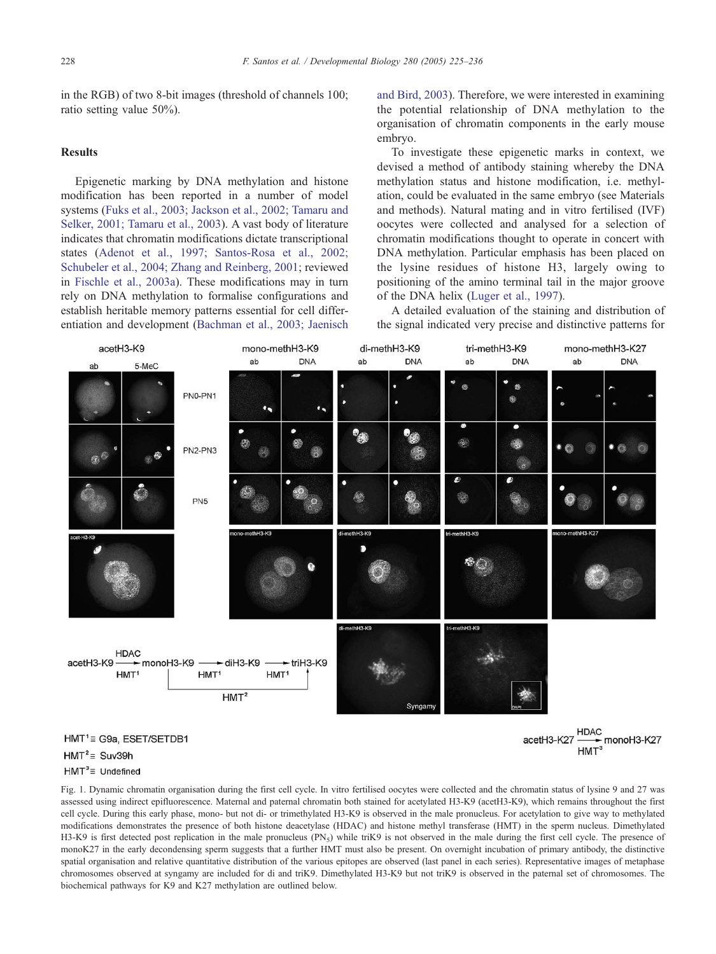<span id="page-3-0"></span>in the RGB) of two 8-bit images (threshold of channels 100; ratio setting value 50%).

## Results

Epigenetic marking by DNA methylation and histone modification has been reported in a number of model systems ([Fuks et al., 2003; Jackson et al., 2002; Tamaru and](#page-10-0) Selker, 2001; Tamaru et al., 2003). A vast body of literature indicates that chromatin modifications dictate transcriptional states ([Adenot et al., 1997; Santos-Rosa et al., 2002;](#page-9-0) Schubeler et al., 2004; Zhang and Reinberg, 2001; reviewed in [Fischle et al., 2003a\)](#page-10-0). These modifications may in turn rely on DNA methylation to formalise configurations and establish heritable memory patterns essential for cell differentiation and development ([Bachman et al., 2003; Jaenisch](#page-9-0) and Bird, 2003). Therefore, we were interested in examining the potential relationship of DNA methylation to the organisation of chromatin components in the early mouse embryo.

To investigate these epigenetic marks in context, we devised a method of antibody staining whereby the DNA methylation status and histone modification, i.e. methylation, could be evaluated in the same embryo (see Materials and methods). Natural mating and in vitro fertilised (IVF) oocytes were collected and analysed for a selection of chromatin modifications thought to operate in concert with DNA methylation. Particular emphasis has been placed on the lysine residues of histone H3, largely owing to positioning of the amino terminal tail in the major groove of the DNA helix ([Luger et al., 1997\)](#page-10-0).

A detailed evaluation of the staining and distribution of the signal indicated very precise and distinctive patterns for



 $HMT^2 \equiv$  Suv39h

#### $HMT^3 \equiv$  Undefined

Fig. 1. Dynamic chromatin organisation during the first cell cycle. In vitro fertilised oocytes were collected and the chromatin status of lysine 9 and 27 was assessed using indirect epifluorescence. Maternal and paternal chromatin both stained for acetylated H3-K9 (acetH3-K9), which remains throughout the first cell cycle. During this early phase, mono- but not di- or trimethylated H3-K9 is observed in the male pronucleus. For acetylation to give way to methylated modifications demonstrates the presence of both histone deacetylase (HDAC) and histone methyl transferase (HMT) in the sperm nucleus. Dimethylated H3-K9 is first detected post replication in the male pronucleus (PN<sub>5</sub>) while triK9 is not observed in the male during the first cell cycle. The presence of monoK27 in the early decondensing sperm suggests that a further HMT must also be present. On overnight incubation of primary antibody, the distinctive spatial organisation and relative quantitative distribution of the various epitopes are observed (last panel in each series). Representative images of metaphase chromosomes observed at syngamy are included for di and triK9. Dimethylated H3-K9 but not triK9 is observed in the paternal set of chromosomes. The biochemical pathways for K9 and K27 methylation are outlined below.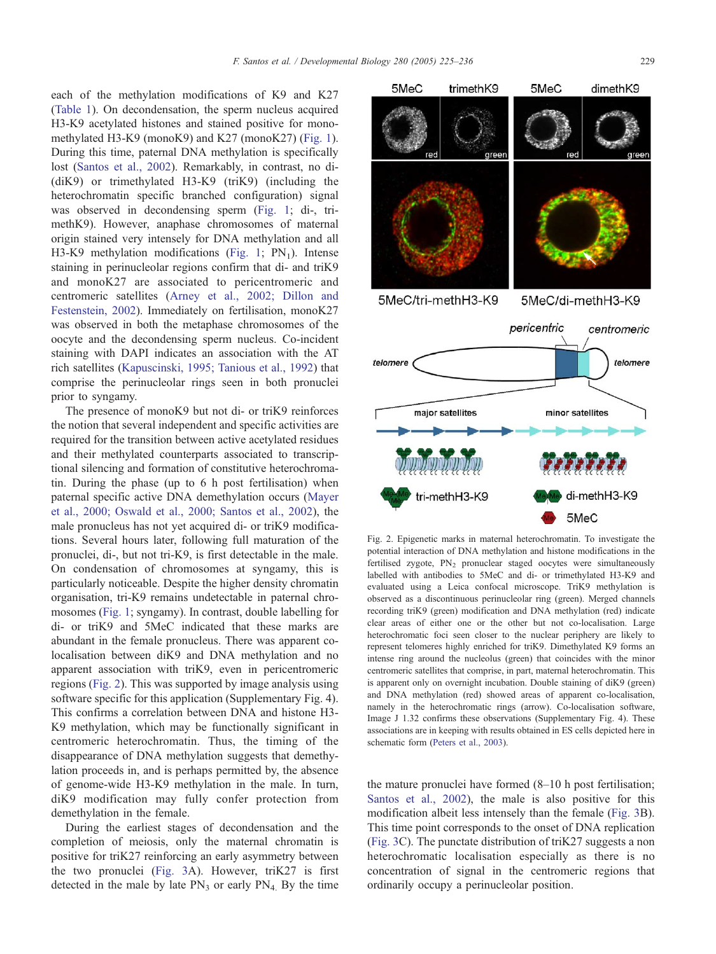<span id="page-4-0"></span>each of the methylation modifications of K9 and K27 ([Table 1\)](#page-2-0). On decondensation, the sperm nucleus acquired H3-K9 acetylated histones and stained positive for monomethylated H3-K9 (monoK9) and K27 (monoK27) ([Fig. 1\)](#page-3-0). During this time, paternal DNA methylation is specifically lost [\(Santos et al., 2002\)](#page-10-0). Remarkably, in contrast, no di- (diK9) or trimethylated H3-K9 (triK9) (including the heterochromatin specific branched configuration) signal was observed in decondensing sperm ([Fig. 1;](#page-3-0) di-, trimethK9). However, anaphase chromosomes of maternal origin stained very intensely for DNA methylation and all H3-K9 methylation modifications ([Fig. 1;](#page-3-0)  $PN_1$ ). Intense staining in perinucleolar regions confirm that di- and triK9 and monoK27 are associated to pericentromeric and centromeric satellites ([Arney et al., 2002; Dillon and](#page-9-0) Festenstein, 2002). Immediately on fertilisation, monoK27 was observed in both the metaphase chromosomes of the oocyte and the decondensing sperm nucleus. Co-incident staining with DAPI indicates an association with the AT rich satellites ([Kapuscinski, 1995; Tanious et al., 1992\)](#page-10-0) that comprise the perinucleolar rings seen in both pronuclei prior to syngamy.

The presence of monoK9 but not di- or triK9 reinforces the notion that several independent and specific activities are required for the transition between active acetylated residues and their methylated counterparts associated to transcriptional silencing and formation of constitutive heterochromatin. During the phase (up to 6 h post fertilisation) when paternal specific active DNA demethylation occurs ([Mayer](#page-10-0) et al., 2000; Oswald et al., 2000; Santos et al., 2002), the male pronucleus has not yet acquired di- or triK9 modifications. Several hours later, following full maturation of the pronuclei, di-, but not tri-K9, is first detectable in the male. On condensation of chromosomes at syngamy, this is particularly noticeable. Despite the higher density chromatin organisation, tri-K9 remains undetectable in paternal chromosomes ([Fig. 1;](#page-3-0) syngamy). In contrast, double labelling for di- or triK9 and 5MeC indicated that these marks are abundant in the female pronucleus. There was apparent colocalisation between diK9 and DNA methylation and no apparent association with triK9, even in pericentromeric regions (Fig. 2). This was supported by image analysis using software specific for this application (Supplementary Fig. 4). This confirms a correlation between DNA and histone H3- K9 methylation, which may be functionally significant in centromeric heterochromatin. Thus, the timing of the disappearance of DNA methylation suggests that demethylation proceeds in, and is perhaps permitted by, the absence of genome-wide H3-K9 methylation in the male. In turn, diK9 modification may fully confer protection from demethylation in the female.

During the earliest stages of decondensation and the completion of meiosis, only the maternal chromatin is positive for triK27 reinforcing an early asymmetry between the two pronuclei ([Fig. 3A](#page-5-0)). However, triK27 is first detected in the male by late  $PN_3$  or early  $PN_4$ . By the time

Fig. 2. Epigenetic marks in maternal heterochromatin. To investigate the potential interaction of DNA methylation and histone modifications in the fertilised zygote,  $PN_2$  pronuclear staged oocytes were simultaneously labelled with antibodies to 5MeC and di- or trimethylated H3-K9 and evaluated using a Leica confocal microscope. TriK9 methylation is observed as a discontinuous perinucleolar ring (green). Merged channels recording triK9 (green) modification and DNA methylation (red) indicate clear areas of either one or the other but not co-localisation. Large heterochromatic foci seen closer to the nuclear periphery are likely to represent telomeres highly enriched for triK9. Dimethylated K9 forms an intense ring around the nucleolus (green) that coincides with the minor centromeric satellites that comprise, in part, maternal heterochromatin. This is apparent only on overnight incubation. Double staining of diK9 (green) and DNA methylation (red) showed areas of apparent co-localisation, namely in the heterochromatic rings (arrow). Co-localisation software, Image J 1.32 confirms these observations (Supplementary Fig. 4). These associations are in keeping with results obtained in ES cells depicted here in schematic form ([Peters et al., 2003\)](#page-10-0).

the mature pronuclei have formed (8–10 h post fertilisation; [Santos et al., 2002\)](#page-10-0), the male is also positive for this modification albeit less intensely than the female ([Fig. 3B](#page-5-0)). This time point corresponds to the onset of DNA replication ([Fig. 3C](#page-5-0)). The punctate distribution of triK27 suggests a non heterochromatic localisation especially as there is no concentration of signal in the centromeric regions that ordinarily occupy a perinucleolar position.

green

trimethK9

5MeC

5MeC



dimethK9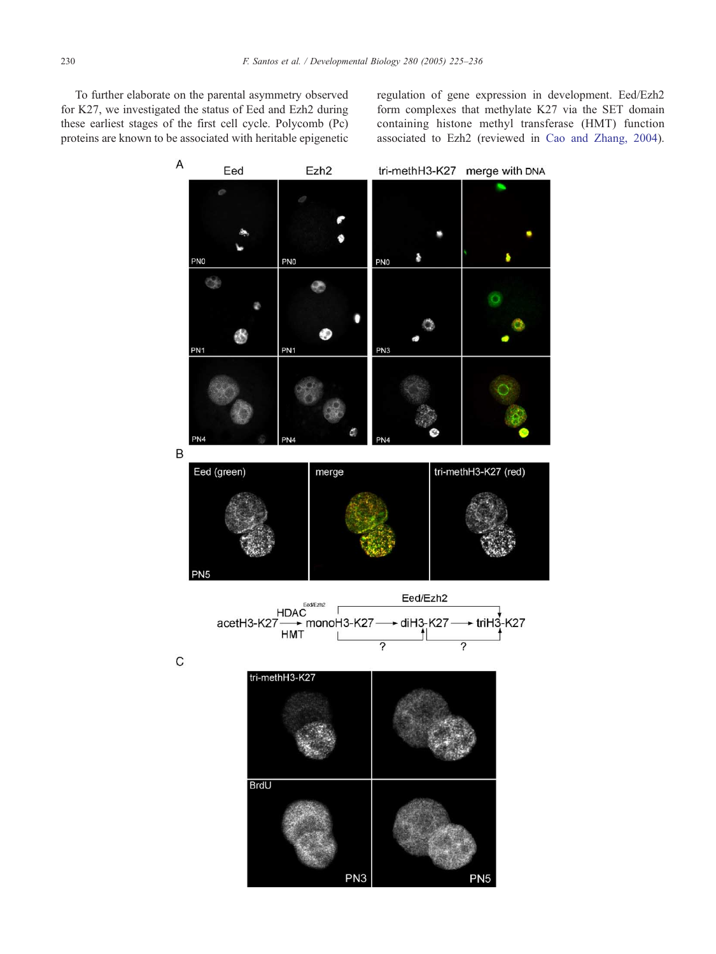<span id="page-5-0"></span>To further elaborate on the parental asymmetry observed for K27, we investigated the status of Eed and Ezh2 during these earliest stages of the first cell cycle. Polycomb (Pc) proteins are known to be associated with heritable epigenetic

regulation of gene expression in development. Eed/Ezh2 form complexes that methylate K27 via the SET domain containing histone methyl transferase (HMT) function associated to Ezh2 (reviewed in [Cao and Zhang, 2004\)](#page-9-0).

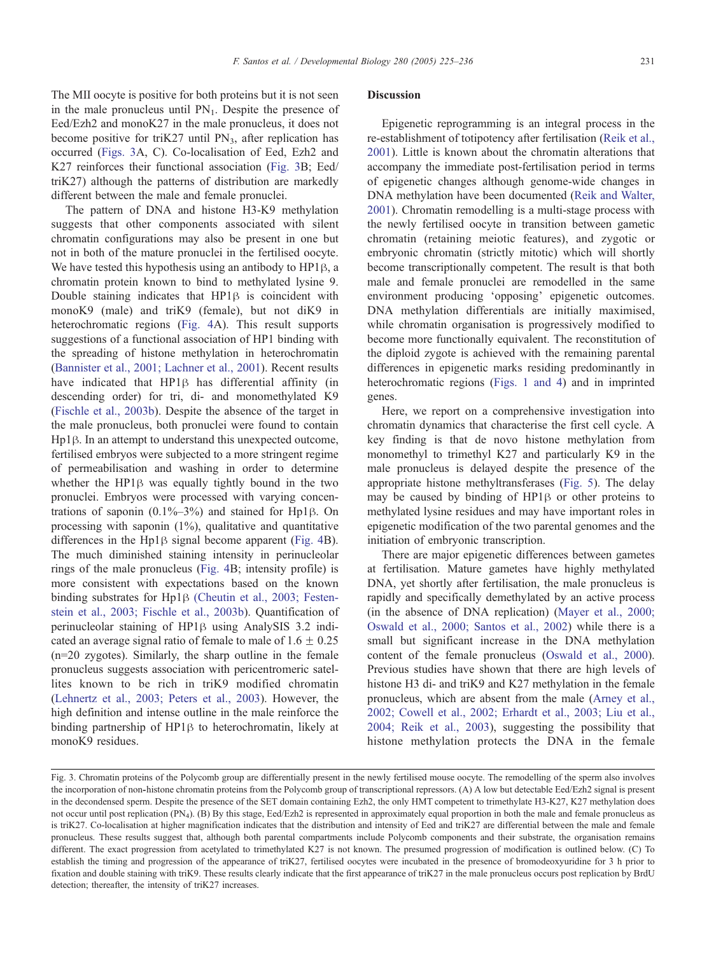The MII oocyte is positive for both proteins but it is not seen in the male pronucleus until  $PN_1$ . Despite the presence of Eed/Ezh2 and monoK27 in the male pronucleus, it does not become positive for triK27 until  $PN_3$ , after replication has occurred ([Figs. 3A](#page-5-0), C). Co-localisation of Eed, Ezh2 and K27 reinforces their functional association ([Fig. 3B](#page-5-0); Eed/ triK27) although the patterns of distribution are markedly different between the male and female pronuclei.

The pattern of DNA and histone H3-K9 methylation suggests that other components associated with silent chromatin configurations may also be present in one but not in both of the mature pronuclei in the fertilised oocyte. We have tested this hypothesis using an antibody to  $HP1\beta$ , a chromatin protein known to bind to methylated lysine 9. Double staining indicates that  $HP1\beta$  is coincident with monoK9 (male) and triK9 (female), but not diK9 in heterochromatic regions ([Fig. 4A](#page-7-0)). This result supports suggestions of a functional association of HP1 binding with the spreading of histone methylation in heterochromatin ([Bannister et al., 2001; Lachner et al., 2001\)](#page-9-0). Recent results have indicated that HP1 $\beta$  has differential affinity (in descending order) for tri, di- and monomethylated K9 ([Fischle et al., 2003b\)](#page-10-0). Despite the absence of the target in the male pronucleus, both pronuclei were found to contain  $Hp1\beta$ . In an attempt to understand this unexpected outcome, fertilised embryos were subjected to a more stringent regime of permeabilisation and washing in order to determine whether the  $HP1\beta$  was equally tightly bound in the two pronuclei. Embryos were processed with varying concentrations of saponin  $(0.1\% - 3\%)$  and stained for Hp1 $\beta$ . On processing with saponin (1%), qualitative and quantitative differences in the  $Hp1\beta$  signal become apparent ([Fig. 4B](#page-7-0)). The much diminished staining intensity in perinucleolar rings of the male pronucleus ([Fig. 4B](#page-7-0); intensity profile) is more consistent with expectations based on the known binding substrates for Hp1<sub>B</sub> [\(Cheutin et al., 2003; Festen](#page-9-0)stein et al., 2003; Fischle et al., 2003b). Quantification of perinucleolar staining of  $HP1\beta$  using AnalySIS 3.2 indicated an average signal ratio of female to male of  $1.6 \pm 0.25$ (n=20 zygotes). Similarly, the sharp outline in the female pronucleus suggests association with pericentromeric satellites known to be rich in triK9 modified chromatin ([Lehnertz et al., 2003; Peters et al., 2003\)](#page-10-0). However, the high definition and intense outline in the male reinforce the binding partnership of  $HP1\beta$  to heterochromatin, likely at monoK9 residues.

# Discussion

Epigenetic reprogramming is an integral process in the re-establishment of totipotency after fertilisation ([Reik et al.,](#page-10-0) 2001). Little is known about the chromatin alterations that accompany the immediate post-fertilisation period in terms of epigenetic changes although genome-wide changes in DNA methylation have been documented ([Reik and Walter,](#page-10-0) 2001). Chromatin remodelling is a multi-stage process with the newly fertilised oocyte in transition between gametic chromatin (retaining meiotic features), and zygotic or embryonic chromatin (strictly mitotic) which will shortly become transcriptionally competent. The result is that both male and female pronuclei are remodelled in the same environment producing 'opposing' epigenetic outcomes. DNA methylation differentials are initially maximised, while chromatin organisation is progressively modified to become more functionally equivalent. The reconstitution of the diploid zygote is achieved with the remaining parental differences in epigenetic marks residing predominantly in heterochromatic regions ([Figs. 1 and 4\)](#page-3-0) and in imprinted genes.

Here, we report on a comprehensive investigation into chromatin dynamics that characterise the first cell cycle. A key finding is that de novo histone methylation from monomethyl to trimethyl K27 and particularly K9 in the male pronucleus is delayed despite the presence of the appropriate histone methyltransferases ([Fig. 5\)](#page-8-0). The delay may be caused by binding of  $HP1\beta$  or other proteins to methylated lysine residues and may have important roles in epigenetic modification of the two parental genomes and the initiation of embryonic transcription.

There are major epigenetic differences between gametes at fertilisation. Mature gametes have highly methylated DNA, yet shortly after fertilisation, the male pronucleus is rapidly and specifically demethylated by an active process (in the absence of DNA replication) ([Mayer et al., 2000;](#page-10-0) Oswald et al., 2000; Santos et al., 2002) while there is a small but significant increase in the DNA methylation content of the female pronucleus ([Oswald et al., 2000\)](#page-10-0). Previous studies have shown that there are high levels of histone H3 di- and triK9 and K27 methylation in the female pronucleus, which are absent from the male ([Arney et al.,](#page-9-0) 2002; Cowell et al., 2002; Erhardt et al., 2003; Liu et al., 2004; Reik et al., 2003), suggesting the possibility that histone methylation protects the DNA in the female

Fig. 3. Chromatin proteins of the Polycomb group are differentially present in the newly fertilised mouse oocyte. The remodelling of the sperm also involves the incorporation of non-histone chromatin proteins from the Polycomb group of transcriptional repressors. (A) A low but detectable Eed/Ezh2 signal is present in the decondensed sperm. Despite the presence of the SET domain containing Ezh2, the only HMT competent to trimethylate H3-K27, K27 methylation does not occur until post replication (PN<sub>4</sub>). (B) By this stage, Eed/Ezh2 is represented in approximately equal proportion in both the male and female pronucleus as is triK27. Co-localisation at higher magnification indicates that the distribution and intensity of Eed and triK27 are differential between the male and female pronucleus. These results suggest that, although both parental compartments include Polycomb components and their substrate, the organisation remains different. The exact progression from acetylated to trimethylated K27 is not known. The presumed progression of modification is outlined below. (C) To establish the timing and progression of the appearance of triK27, fertilised oocytes were incubated in the presence of bromodeoxyuridine for 3 h prior to fixation and double staining with triK9. These results clearly indicate that the first appearance of triK27 in the male pronucleus occurs post replication by BrdU detection; thereafter, the intensity of triK27 increases.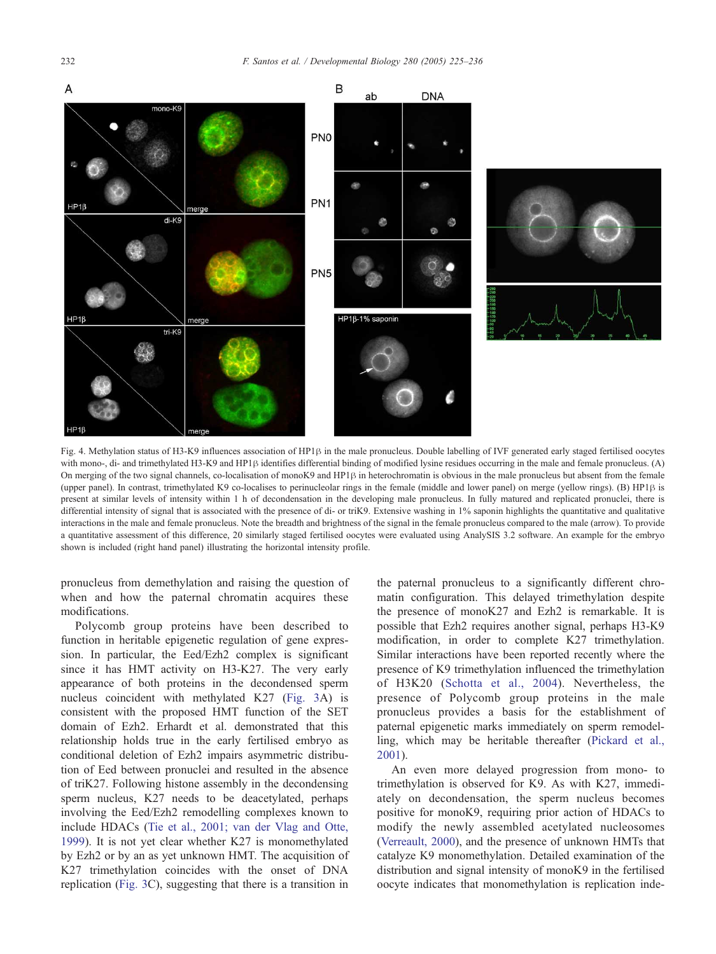<span id="page-7-0"></span>

Fig. 4. Methylation status of H3-K9 influences association of HP1 $\beta$  in the male pronucleus. Double labelling of IVF generated early staged fertilised oocytes with mono-, di- and trimethylated H3-K9 and HP1 $\beta$  identifies differential binding of modified lysine residues occurring in the male and female pronucleus. (A) On merging of the two signal channels, co-localisation of monoK9 and HP1 $\beta$  in heterochromatin is obvious in the male pronucleus but absent from the female (upper panel). In contrast, trimethylated K9 co-localises to perinucleolar rings in the female (middle and lower panel) on merge (yellow rings). (B) HP1 $\beta$  is present at similar levels of intensity within 1 h of decondensation in the developing male pronucleus. In fully matured and replicated pronuclei, there is differential intensity of signal that is associated with the presence of di- or triK9. Extensive washing in 1% saponin highlights the quantitative and qualitative interactions in the male and female pronucleus. Note the breadth and brightness of the signal in the female pronucleus compared to the male (arrow). To provide a quantitative assessment of this difference, 20 similarly staged fertilised oocytes were evaluated using AnalySIS 3.2 software. An example for the embryo shown is included (right hand panel) illustrating the horizontal intensity profile.

pronucleus from demethylation and raising the question of when and how the paternal chromatin acquires these modifications.

Polycomb group proteins have been described to function in heritable epigenetic regulation of gene expression. In particular, the Eed/Ezh2 complex is significant since it has HMT activity on H3-K27. The very early appearance of both proteins in the decondensed sperm nucleus coincident with methylated K27 ([Fig. 3A](#page-5-0)) is consistent with the proposed HMT function of the SET domain of Ezh2. Erhardt et al. demonstrated that this relationship holds true in the early fertilised embryo as conditional deletion of Ezh2 impairs asymmetric distribution of Eed between pronuclei and resulted in the absence of triK27. Following histone assembly in the decondensing sperm nucleus, K27 needs to be deacetylated, perhaps involving the Eed/Ezh2 remodelling complexes known to include HDACs ([Tie et al., 2001; van der Vlag and Otte,](#page-11-0) 1999). It is not yet clear whether K27 is monomethylated by Ezh2 or by an as yet unknown HMT. The acquisition of K27 trimethylation coincides with the onset of DNA replication [\(Fig. 3C](#page-5-0)), suggesting that there is a transition in

the paternal pronucleus to a significantly different chromatin configuration. This delayed trimethylation despite the presence of monoK27 and Ezh2 is remarkable. It is possible that Ezh2 requires another signal, perhaps H3-K9 modification, in order to complete K27 trimethylation. Similar interactions have been reported recently where the presence of K9 trimethylation influenced the trimethylation of H3K20 ([Schotta et al., 2004\)](#page-10-0). Nevertheless, the presence of Polycomb group proteins in the male pronucleus provides a basis for the establishment of paternal epigenetic marks immediately on sperm remodelling, which may be heritable thereafter ([Pickard et al.,](#page-10-0) 2001).

An even more delayed progression from mono- to trimethylation is observed for K9. As with K27, immediately on decondensation, the sperm nucleus becomes positive for monoK9, requiring prior action of HDACs to modify the newly assembled acetylated nucleosomes ([Verreault, 2000\)](#page-11-0), and the presence of unknown HMTs that catalyze K9 monomethylation. Detailed examination of the distribution and signal intensity of monoK9 in the fertilised oocyte indicates that monomethylation is replication inde-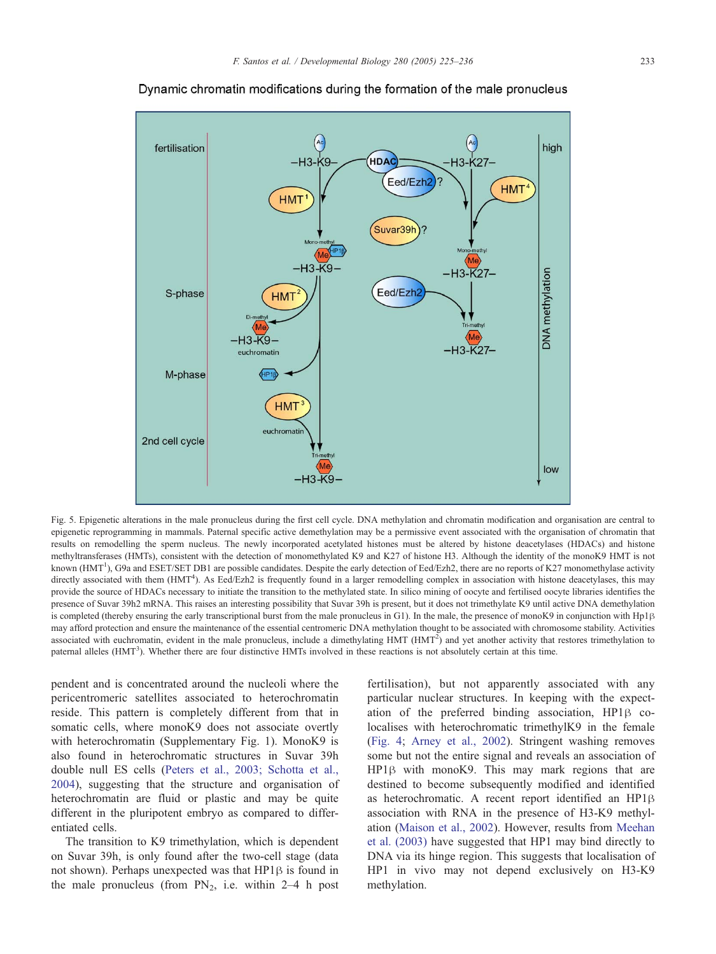<span id="page-8-0"></span>

Dynamic chromatin modifications during the formation of the male pronucleus

Fig. 5. Epigenetic alterations in the male pronucleus during the first cell cycle. DNA methylation and chromatin modification and organisation are central to epigenetic reprogramming in mammals. Paternal specific active demethylation may be a permissive event associated with the organisation of chromatin that results on remodelling the sperm nucleus. The newly incorporated acetylated histones must be altered by histone deacetylases (HDACs) and histone methyltransferases (HMTs), consistent with the detection of monomethylated K9 and K27 of histone H3. Although the identity of the monoK9 HMT is not known (HMT<sup>1</sup>), G9a and ESET/SET DB1 are possible candidates. Despite the early detection of Eed/Ezh2, there are no reports of K27 monomethylase activity directly associated with them (HMT<sup>4</sup>). As Eed/Ezh2 is frequently found in a larger remodelling complex in association with histone deacetylases, this may provide the source of HDACs necessary to initiate the transition to the methylated state. In silico mining of oocyte and fertilised oocyte libraries identifies the presence of Suvar 39h2 mRNA. This raises an interesting possibility that Suvar 39h is present, but it does not trimethylate K9 until active DNA demethylation is completed (thereby ensuring the early transcriptional burst from the male pronucleus in G1). In the male, the presence of monoK9 in conjunction with Hp1 $\beta$ may afford protection and ensure the maintenance of the essential centromeric DNA methylation thought to be associated with chromosome stability. Activities associated with euchromatin, evident in the male pronucleus, include a dimethylating HMT  $(HMT<sup>2</sup>)$  and yet another activity that restores trimethylation to paternal alleles (HMT<sup>3</sup>). Whether there are four distinctive HMTs involved in these reactions is not absolutely certain at this time.

pendent and is concentrated around the nucleoli where the pericentromeric satellites associated to heterochromatin reside. This pattern is completely different from that in somatic cells, where monoK9 does not associate overtly with heterochromatin (Supplementary Fig. 1). MonoK9 is also found in heterochromatic structures in Suvar 39h double null ES cells ([Peters et al., 2003; Schotta et al.,](#page-10-0) 2004), suggesting that the structure and organisation of heterochromatin are fluid or plastic and may be quite different in the pluripotent embryo as compared to differentiated cells.

The transition to K9 trimethylation, which is dependent on Suvar 39h, is only found after the two-cell stage (data not shown). Perhaps unexpected was that  $HP1\beta$  is found in the male pronucleus (from  $PN_2$ , i.e. within 2–4 h post

fertilisation), but not apparently associated with any particular nuclear structures. In keeping with the expectation of the preferred binding association,  $HP1\beta$  colocalises with heterochromatic trimethylK9 in the female ([Fig. 4;](#page-7-0) [Arney et al., 2002\)](#page-9-0). Stringent washing removes some but not the entire signal and reveals an association of  $HP1\beta$  with monoK9. This may mark regions that are destined to become subsequently modified and identified as heterochromatic. A recent report identified an HP1 $\beta$ association with RNA in the presence of H3-K9 methylation ([Maison et al., 2002\)](#page-10-0). However, results from [Meehan](#page-10-0) et al. (2003) have suggested that HP1 may bind directly to DNA via its hinge region. This suggests that localisation of HP1 in vivo may not depend exclusively on H3-K9 methylation.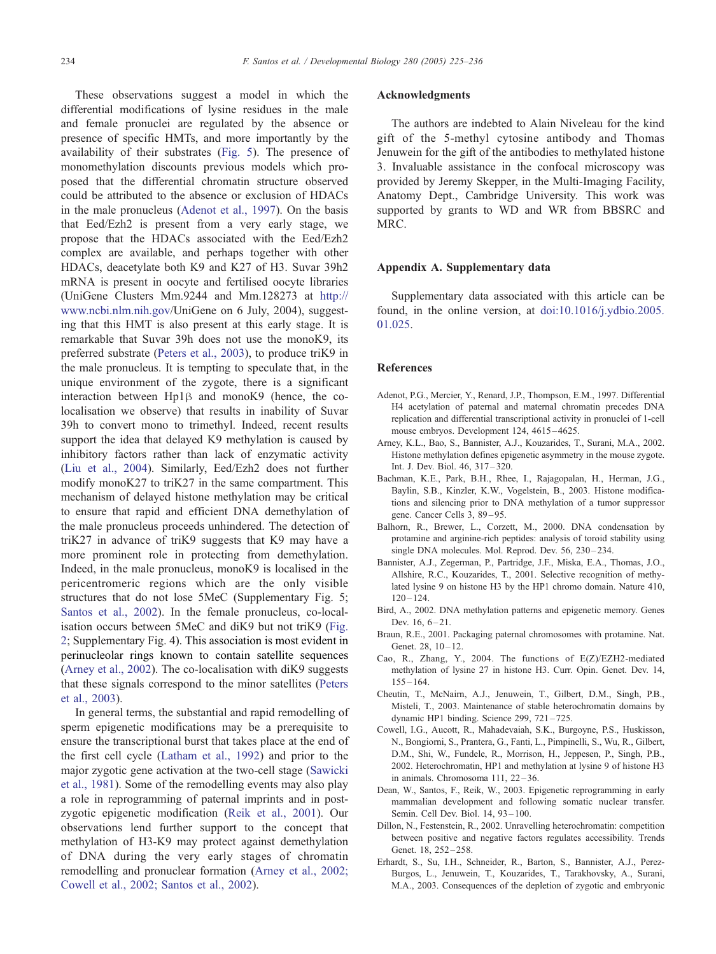<span id="page-9-0"></span>These observations suggest a model in which the differential modifications of lysine residues in the male and female pronuclei are regulated by the absence or presence of specific HMTs, and more importantly by the availability of their substrates ([Fig. 5\)](#page-8-0). The presence of monomethylation discounts previous models which proposed that the differential chromatin structure observed could be attributed to the absence or exclusion of HDACs in the male pronucleus (Adenot et al., 1997). On the basis that Eed/Ezh2 is present from a very early stage, we propose that the HDACs associated with the Eed/Ezh2 complex are available, and perhaps together with other HDACs, deacetylate both K9 and K27 of H3. Suvar 39h2 mRNA is present in oocyte and fertilised oocyte libraries (UniGene Clusters Mm.9244 and Mm.128273 at [http://]( http:\\www.ncbi.nlm.nih.gov ) www.ncbi.nlm.nih.gov/UniGene on 6 July, 2004), suggesting that this HMT is also present at this early stage. It is remarkable that Suvar 39h does not use the monoK9, its preferred substrate ([Peters et al., 2003\)](#page-10-0), to produce triK9 in the male pronucleus. It is tempting to speculate that, in the unique environment of the zygote, there is a significant interaction between  $Hp1\beta$  and monoK9 (hence, the colocalisation we observe) that results in inability of Suvar 39h to convert mono to trimethyl. Indeed, recent results support the idea that delayed K9 methylation is caused by inhibitory factors rather than lack of enzymatic activity ([Liu et al., 2004\)](#page-10-0). Similarly, Eed/Ezh2 does not further modify monoK27 to triK27 in the same compartment. This mechanism of delayed histone methylation may be critical to ensure that rapid and efficient DNA demethylation of the male pronucleus proceeds unhindered. The detection of triK27 in advance of triK9 suggests that K9 may have a more prominent role in protecting from demethylation. Indeed, in the male pronucleus, monoK9 is localised in the pericentromeric regions which are the only visible structures that do not lose 5MeC (Supplementary Fig. 5; [Santos et al., 2002\)](#page-10-0). In the female pronucleus, co-localisation occurs between 5MeC and diK9 but not triK9 ([Fig.](#page-4-0) 2; Supplementary Fig. 4). This association is most evident in perinucleolar rings known to contain satellite sequences (Arney et al., 2002). The co-localisation with diK9 suggests that these signals correspond to the minor satellites ([Peters](#page-10-0) et al., 2003).

In general terms, the substantial and rapid remodelling of sperm epigenetic modifications may be a prerequisite to ensure the transcriptional burst that takes place at the end of the first cell cycle ([Latham et al., 1992\)](#page-10-0) and prior to the major zygotic gene activation at the two-cell stage ([Sawicki](#page-10-0) et al., 1981). Some of the remodelling events may also play a role in reprogramming of paternal imprints and in postzygotic epigenetic modification ([Reik et al., 2001\)](#page-10-0). Our observations lend further support to the concept that methylation of H3-K9 may protect against demethylation of DNA during the very early stages of chromatin remodelling and pronuclear formation (Arney et al., 2002; Cowell et al., 2002; Santos et al., 2002).

# Acknowledgments

The authors are indebted to Alain Niveleau for the kind gift of the 5-methyl cytosine antibody and Thomas Jenuwein for the gift of the antibodies to methylated histone 3. Invaluable assistance in the confocal microscopy was provided by Jeremy Skepper, in the Multi-Imaging Facility, Anatomy Dept., Cambridge University. This work was supported by grants to WD and WR from BBSRC and MRC.

#### Appendix A. Supplementary data

Supplementary data associated with this article can be found, in the online version, at [doi:10.1016/j.ydbio.2005.]( http:\\dx.doi.org\doi:10.1016\j.ydbio.2005.01.025 ) 01.025.

#### References

- Adenot, P.G., Mercier, Y., Renard, J.P., Thompson, E.M., 1997. Differential H4 acetylation of paternal and maternal chromatin precedes DNA replication and differential transcriptional activity in pronuclei of 1-cell mouse embryos. Development 124, 4615-4625.
- Arney, K.L., Bao, S., Bannister, A.J., Kouzarides, T., Surani, M.A., 2002. Histone methylation defines epigenetic asymmetry in the mouse zygote. Int. J. Dev. Biol. 46, 317 – 320.
- Bachman, K.E., Park, B.H., Rhee, I., Rajagopalan, H., Herman, J.G., Baylin, S.B., Kinzler, K.W., Vogelstein, B., 2003. Histone modifications and silencing prior to DNA methylation of a tumor suppressor gene. Cancer Cells 3, 89-95.
- Balhorn, R., Brewer, L., Corzett, M., 2000. DNA condensation by protamine and arginine-rich peptides: analysis of toroid stability using single DNA molecules. Mol. Reprod. Dev. 56, 230-234.
- Bannister, A.J., Zegerman, P., Partridge, J.F., Miska, E.A., Thomas, J.O., Allshire, R.C., Kouzarides, T., 2001. Selective recognition of methylated lysine 9 on histone H3 by the HP1 chromo domain. Nature 410,  $120 - 124.$
- Bird, A., 2002. DNA methylation patterns and epigenetic memory. Genes Dev.  $16, 6 - 21$ .
- Braun, R.E., 2001. Packaging paternal chromosomes with protamine. Nat. Genet.  $28, 10 - 12$ .
- Cao, R., Zhang, Y., 2004. The functions of E(Z)/EZH2-mediated methylation of lysine 27 in histone H3. Curr. Opin. Genet. Dev. 14,  $155 - 164.$
- Cheutin, T., McNairn, A.J., Jenuwein, T., Gilbert, D.M., Singh, P.B., Misteli, T., 2003. Maintenance of stable heterochromatin domains by dynamic HP1 binding. Science 299, 721-725.
- Cowell, I.G., Aucott, R., Mahadevaiah, S.K., Burgoyne, P.S., Huskisson, N., Bongiorni, S., Prantera, G., Fanti, L., Pimpinelli, S., Wu, R., Gilbert, D.M., Shi, W., Fundele, R., Morrison, H., Jeppesen, P., Singh, P.B., 2002. Heterochromatin, HP1 and methylation at lysine 9 of histone H3 in animals. Chromosoma 111, 22-36.
- Dean, W., Santos, F., Reik, W., 2003. Epigenetic reprogramming in early mammalian development and following somatic nuclear transfer. Semin. Cell Dev. Biol. 14, 93-100.
- Dillon, N., Festenstein, R., 2002. Unravelling heterochromatin: competition between positive and negative factors regulates accessibility. Trends Genet. 18, 252-258.
- Erhardt, S., Su, I.H., Schneider, R., Barton, S., Bannister, A.J., Perez-Burgos, L., Jenuwein, T., Kouzarides, T., Tarakhovsky, A., Surani, M.A., 2003. Consequences of the depletion of zygotic and embryonic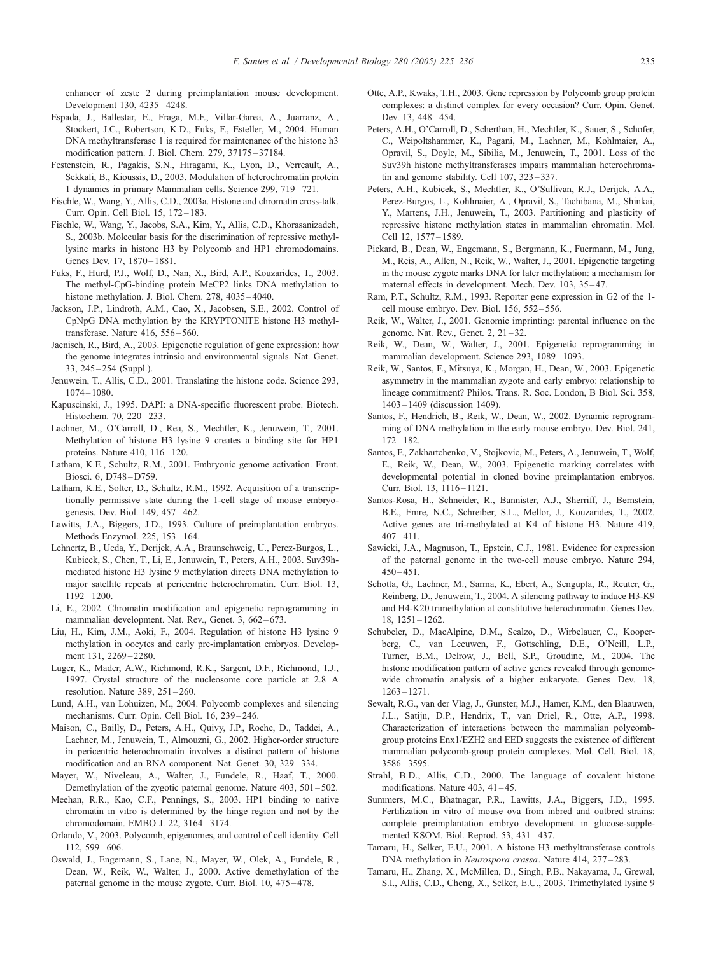<span id="page-10-0"></span>enhancer of zeste 2 during preimplantation mouse development. Development 130, 4235 – 4248.

- Espada, J., Ballestar, E., Fraga, M.F., Villar-Garea, A., Juarranz, A., Stockert, J.C., Robertson, K.D., Fuks, F., Esteller, M., 2004. Human DNA methyltransferase 1 is required for maintenance of the histone h3 modification pattern. J. Biol. Chem. 279, 37175 – 37184.
- Festenstein, R., Pagakis, S.N., Hiragami, K., Lyon, D., Verreault, A., Sekkali, B., Kioussis, D., 2003. Modulation of heterochromatin protein 1 dynamics in primary Mammalian cells. Science 299, 719 – 721.
- Fischle, W., Wang, Y., Allis, C.D., 2003a. Histone and chromatin cross-talk. Curr. Opin. Cell Biol. 15, 172 – 183.
- Fischle, W., Wang, Y., Jacobs, S.A., Kim, Y., Allis, C.D., Khorasanizadeh, S., 2003b. Molecular basis for the discrimination of repressive methyllysine marks in histone H3 by Polycomb and HP1 chromodomains. Genes Dev. 17, 1870-1881.
- Fuks, F., Hurd, P.J., Wolf, D., Nan, X., Bird, A.P., Kouzarides, T., 2003. The methyl-CpG-binding protein MeCP2 links DNA methylation to histone methylation. J. Biol. Chem. 278, 4035-4040.
- Jackson, J.P., Lindroth, A.M., Cao, X., Jacobsen, S.E., 2002. Control of CpNpG DNA methylation by the KRYPTONITE histone H3 methyltransferase. Nature 416, 556 – 560.
- Jaenisch, R., Bird, A., 2003. Epigenetic regulation of gene expression: how the genome integrates intrinsic and environmental signals. Nat. Genet. 33, 245 – 254 (Suppl.).
- Jenuwein, T., Allis, C.D., 2001. Translating the histone code. Science 293, 1074 – 1080.
- Kapuscinski, J., 1995. DAPI: a DNA-specific fluorescent probe. Biotech. Histochem. 70, 220-233.
- Lachner, M., O'Carroll, D., Rea, S., Mechtler, K., Jenuwein, T., 2001. Methylation of histone H3 lysine 9 creates a binding site for HP1 proteins. Nature 410, 116-120.
- Latham, K.E., Schultz, R.M., 2001. Embryonic genome activation. Front. Biosci. 6, D748 – D759.
- Latham, K.E., Solter, D., Schultz, R.M., 1992. Acquisition of a transcriptionally permissive state during the 1-cell stage of mouse embryogenesis. Dev. Biol. 149, 457 – 462.
- Lawitts, J.A., Biggers, J.D., 1993. Culture of preimplantation embryos. Methods Enzymol. 225, 153 – 164.
- Lehnertz, B., Ueda, Y., Derijck, A.A., Braunschweig, U., Perez-Burgos, L., Kubicek, S., Chen, T., Li, E., Jenuwein, T., Peters, A.H., 2003. Suv39hmediated histone H3 lysine 9 methylation directs DNA methylation to major satellite repeats at pericentric heterochromatin. Curr. Biol. 13,  $1192 - 1200$ .
- Li, E., 2002. Chromatin modification and epigenetic reprogramming in mammalian development. Nat. Rev., Genet. 3, 662-673.
- Liu, H., Kim, J.M., Aoki, F., 2004. Regulation of histone H3 lysine 9 methylation in oocytes and early pre-implantation embryos. Development 131, 2269–2280.
- Luger, K., Mader, A.W., Richmond, R.K., Sargent, D.F., Richmond, T.J., 1997. Crystal structure of the nucleosome core particle at 2.8 A resolution. Nature 389, 251 – 260.
- Lund, A.H., van Lohuizen, M., 2004. Polycomb complexes and silencing mechanisms. Curr. Opin. Cell Biol. 16, 239 – 246.
- Maison, C., Bailly, D., Peters, A.H., Quivy, J.P., Roche, D., Taddei, A., Lachner, M., Jenuwein, T., Almouzni, G., 2002. Higher-order structure in pericentric heterochromatin involves a distinct pattern of histone modification and an RNA component. Nat. Genet. 30, 329 – 334.
- Mayer, W., Niveleau, A., Walter, J., Fundele, R., Haaf, T., 2000. Demethylation of the zygotic paternal genome. Nature 403, 501-502.
- Meehan, R.R., Kao, C.F., Pennings, S., 2003. HP1 binding to native chromatin in vitro is determined by the hinge region and not by the chromodomain. EMBO J. 22, 3164 – 3174.
- Orlando, V., 2003. Polycomb, epigenomes, and control of cell identity. Cell 112, 599 – 606.
- Oswald, J., Engemann, S., Lane, N., Mayer, W., Olek, A., Fundele, R., Dean, W., Reik, W., Walter, J., 2000. Active demethylation of the paternal genome in the mouse zygote. Curr. Biol. 10, 475 – 478.
- Otte, A.P., Kwaks, T.H., 2003. Gene repression by Polycomb group protein complexes: a distinct complex for every occasion? Curr. Opin. Genet. Dev. 13, 448-454.
- Peters, A.H., O'Carroll, D., Scherthan, H., Mechtler, K., Sauer, S., Schofer, C., Weipoltshammer, K., Pagani, M., Lachner, M., Kohlmaier, A., Opravil, S., Doyle, M., Sibilia, M., Jenuwein, T., 2001. Loss of the Suv39h histone methyltransferases impairs mammalian heterochromatin and genome stability. Cell 107, 323 – 337.
- Peters, A.H., Kubicek, S., Mechtler, K., O'Sullivan, R.J., Derijck, A.A., Perez-Burgos, L., Kohlmaier, A., Opravil, S., Tachibana, M., Shinkai, Y., Martens, J.H., Jenuwein, T., 2003. Partitioning and plasticity of repressive histone methylation states in mammalian chromatin. Mol. Cell 12, 1577 – 1589.
- Pickard, B., Dean, W., Engemann, S., Bergmann, K., Fuermann, M., Jung, M., Reis, A., Allen, N., Reik, W., Walter, J., 2001. Epigenetic targeting in the mouse zygote marks DNA for later methylation: a mechanism for maternal effects in development. Mech. Dev. 103, 35-47.
- Ram, P.T., Schultz, R.M., 1993. Reporter gene expression in G2 of the 1 cell mouse embryo. Dev. Biol. 156, 552 – 556.
- Reik, W., Walter, J., 2001. Genomic imprinting: parental influence on the genome. Nat. Rev., Genet. 2, 21 – 32.
- Reik, W., Dean, W., Walter, J., 2001. Epigenetic reprogramming in mammalian development. Science 293, 1089-1093.
- Reik, W., Santos, F., Mitsuya, K., Morgan, H., Dean, W., 2003. Epigenetic asymmetry in the mammalian zygote and early embryo: relationship to lineage commitment? Philos. Trans. R. Soc. London, B Biol. Sci. 358, 1403 – 1409 (discussion 1409).
- Santos, F., Hendrich, B., Reik, W., Dean, W., 2002. Dynamic reprogramming of DNA methylation in the early mouse embryo. Dev. Biol. 241,  $172 - 182$ .
- Santos, F., Zakhartchenko, V., Stojkovic, M., Peters, A., Jenuwein, T., Wolf, E., Reik, W., Dean, W., 2003. Epigenetic marking correlates with developmental potential in cloned bovine preimplantation embryos. Curr. Biol. 13, 1116 – 1121.
- Santos-Rosa, H., Schneider, R., Bannister, A.J., Sherriff, J., Bernstein, B.E., Emre, N.C., Schreiber, S.L., Mellor, J., Kouzarides, T., 2002. Active genes are tri-methylated at K4 of histone H3. Nature 419,  $407 - 411.$
- Sawicki, J.A., Magnuson, T., Epstein, C.J., 1981. Evidence for expression of the paternal genome in the two-cell mouse embryo. Nature 294,  $450 - 451$
- Schotta, G., Lachner, M., Sarma, K., Ebert, A., Sengupta, R., Reuter, G., Reinberg, D., Jenuwein, T., 2004. A silencing pathway to induce H3-K9 and H4-K20 trimethylation at constitutive heterochromatin. Genes Dev. 18, 1251 – 1262.
- Schubeler, D., MacAlpine, D.M., Scalzo, D., Wirbelauer, C., Kooperberg, C., van Leeuwen, F., Gottschling, D.E., O'Neill, L.P., Turner, B.M., Delrow, J., Bell, S.P., Groudine, M., 2004. The histone modification pattern of active genes revealed through genomewide chromatin analysis of a higher eukaryote. Genes Dev. 18, 1263 – 1271.
- Sewalt, R.G., van der Vlag, J., Gunster, M.J., Hamer, K.M., den Blaauwen, J.L., Satijn, D.P., Hendrix, T., van Driel, R., Otte, A.P., 1998. Characterization of interactions between the mammalian polycombgroup proteins Enx1/EZH2 and EED suggests the existence of different mammalian polycomb-group protein complexes. Mol. Cell. Biol. 18, 3586 – 3595.
- Strahl, B.D., Allis, C.D., 2000. The language of covalent histone modifications. Nature 403, 41-45.
- Summers, M.C., Bhatnagar, P.R., Lawitts, J.A., Biggers, J.D., 1995. Fertilization in vitro of mouse ova from inbred and outbred strains: complete preimplantation embryo development in glucose-supplemented KSOM. Biol. Reprod. 53, 431 – 437.
- Tamaru, H., Selker, E.U., 2001. A histone H3 methyltransferase controls DNA methylation in Neurospora crassa. Nature 414, 277-283.
- Tamaru, H., Zhang, X., McMillen, D., Singh, P.B., Nakayama, J., Grewal, S.I., Allis, C.D., Cheng, X., Selker, E.U., 2003. Trimethylated lysine 9